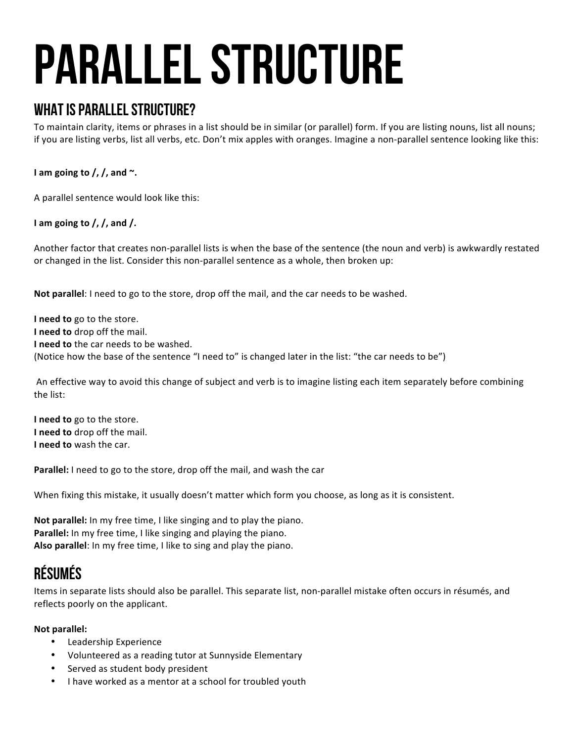# Parallel Structure

## WHAT IS PARALLEL STRUCTURE?

To maintain clarity, items or phrases in a list should be in similar (or parallel) form. If you are listing nouns, list all nouns; if you are listing verbs, list all verbs, etc. Don't mix apples with oranges. Imagine a non-parallel sentence looking like this:

**I** am going to  $\frac{\pi}{2}$ , and  $\sim$ .

A parallel sentence would look like this:

I am going to  $/$ ,  $/$ , and  $/$ .

Another factor that creates non-parallel lists is when the base of the sentence (the noun and verb) is awkwardly restated or changed in the list. Consider this non-parallel sentence as a whole, then broken up:

Not parallel: I need to go to the store, drop off the mail, and the car needs to be washed.

**I** need to go to the store. **I** need to drop off the mail. **I** need to the car needs to be washed. (Notice how the base of the sentence "I need to" is changed later in the list: "the car needs to be")

An effective way to avoid this change of subject and verb is to imagine listing each item separately before combining the list:

**I** need to go to the store. **I** need to drop off the mail. **I** need to wash the car.

**Parallel:** I need to go to the store, drop off the mail, and wash the car

When fixing this mistake, it usually doesn't matter which form you choose, as long as it is consistent.

**Not parallel:** In my free time, I like singing and to play the piano. **Parallel:** In my free time, I like singing and playing the piano. Also parallel: In my free time, I like to sing and play the piano.

## Résumés

Items in separate lists should also be parallel. This separate list, non-parallel mistake often occurs in résumés, and reflects poorly on the applicant.

#### **Not parallel:**

- Leadership Experience
- Volunteered as a reading tutor at Sunnyside Elementary
- Served as student body president
- I have worked as a mentor at a school for troubled youth